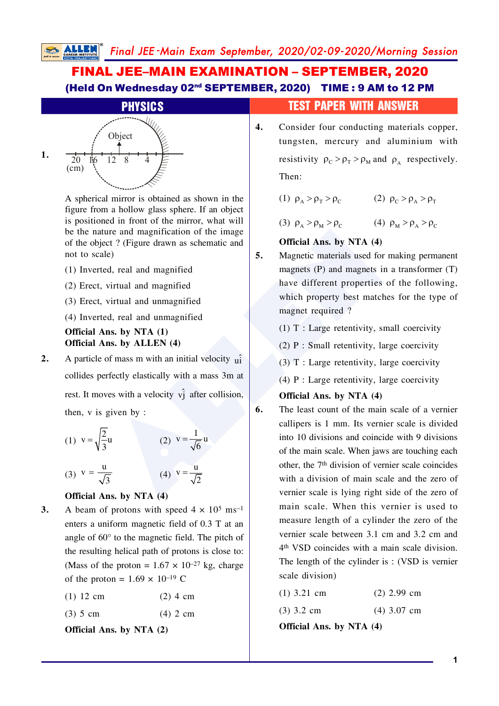# FINAL JEE–MAIN EXAMINATION – SEPTEMBER, 2020 (Held On Wednesday 02nd SEPTEMBER, 2020) TIME : 9 AM to 12 PM



A spherical mirror is obtained as shown in the figure from a hollow glass sphere. If an object is positioned in front of the mirror, what will be the nature and magnification of the image of the object ? (Figure drawn as schematic and not to scale)

- $(1)$  Inverted, real and magnified
- $(2)$  Erect, virtual and magnified
- $(3)$  Erect, virtual and unmagnified
- $(4)$  Inverted, real and unmagnified

### **Official Ans. by NTA (1) Official Ans. by ALLEN (4)**

**2.** A particle of mass m with an initial velocity  $\hat{u}$ collides perfectly elastically with a mass  $3m$  at rest. It moves with a velocity  $v_j^2$  after collision, then,  $v$  is given by :

(1) 
$$
v = \sqrt{\frac{2}{3}}u
$$
  
\n(2)  $v = \frac{1}{\sqrt{6}}u$   
\n(3)  $v = \frac{u}{\sqrt{3}}$   
\n(4)  $v = \frac{u}{\sqrt{2}}$ 

### **Official Ans. by NTA (4)**

**3.** A beam of protons with speed  $4 \times 10^5$  ms<sup>-1</sup> enters a uniform magnetic field of  $0.3$  T at an angle of  $60^\circ$  to the magnetic field. The pitch of the resulting helical path of protons is close to: (Mass of the proton =  $1.67 \times 10^{-27}$  kg, charge of the proton =  $1.69 \times 10^{-19}$  C

| $(1)$ 12 cm<br>$(2)$ 4 cm |  |  |
|---------------------------|--|--|
|---------------------------|--|--|

 $(3)$  5 cm  $(4)$  2 cm

**Official Ans. by NTA (2)**

## **PHYSICS** TEST PAPER WITH ANSWER

**4.** Consider four conducting materials copper, tungsten, mercury and aluminium with resistivity  $\rho_c > \rho_{\rm T} > \rho_{\rm M}$  and  $\rho_{\rm A}$  respectively. Then:

(1)  $\rho_A > \rho_T > \rho_C$  (2)  $\rho_C > \rho_A > \rho_T$ 

(3)  $\rho_A > \rho_M > \rho_C$  (4)  $\rho_M > \rho_A > \rho_C$ 

### **Official Ans. by NTA (4)**

**5.** Magnetic materials used for making permanent magnets (P) and magnets in a transformer  $(T)$ have different properties of the following. which property best matches for the type of magnet required?

 $(1)$  T : Large retentivity, small coercivity

 $(2)$  P : Small retentivity, large coercivity

 $(3)$  T : Large retentivity, large coercivity

(4) P : Large retentivity, large coercivity

### **Official Ans. by NTA (4)**

ture and magnification of the image<br>
ect? (Figure drawn as schematic and<br>
de)<br>
ed, real and magnified<br>
ed, real and magnified<br>
ed, real and magnified<br>
which property best matches for make<br>
magnets (P) and magnets in a tur **6.** The least count of the main scale of a vernier callipers is  $1 \text{ mm}$ . Its vernier scale is divided into.  $10$  divisions and coincide with 9 divisions of the main scale. When jaws are touching each other, the  $7<sup>th</sup>$  division of vernier scale coincides with a division of main scale and the zero of vernier scale is lying right side of the zero of main scale. When this vernier is used to measure length of a cylinder the zero of the vernier scale between  $3.1$  cm and  $3.2$  cm and 4<sup>th</sup> VSD coincides with a main scale division. The length of the cylinder is:  $(VSD)$  is vernier scale division)

| $(1)$ 3.21 cm | $(2)$ 2.99 cm |
|---------------|---------------|
|---------------|---------------|

 $(3)$  3.2 cm  $(4)$  3.07 cm

**Official Ans. by NTA (4)**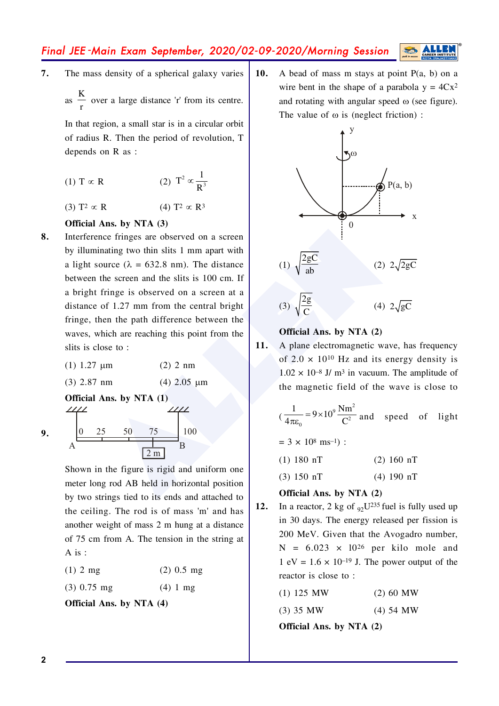Final JEE-Main Exam September, 2020/02-09-2020/Morning Session

 $\overline{7}$ . The mass density of a spherical galaxy varies

as  $\frac{K}{n}$  over a large distance 'r' from its centre.

In that region, a small star is in a circular orbit of radius R. Then the period of revolution, T depends on  $R$  as :

- (2)  $T^2 \propto \frac{1}{R^3}$  $(1)$  T  $\propto$  R
- (4)  $T^2 \propto R^3$  $(3)$  T<sup>2</sup>  $\propto$  R

### Official Ans. by NTA (3)

- 8. Interference fringes are observed on a screen by illuminating two thin slits 1 mm apart with a light source ( $\lambda = 632.8$  nm). The distance between the screen and the slits is 100 cm. If a bright fringe is observed on a screen at a distance of 1.27 mm from the central bright fringe, then the path difference between the waves, which are reaching this point from the slits is close to:
	- $(1)$  1.27 um  $(2)$  2 nm

Official Ans. by NTA (1)

 $(3)$  2.87 nm

 $(4)$  2.05 um

$$
9.
$$

100 75  $2<sub>m</sub>$ 

Shown in the figure is rigid and uniform one meter long rod AB held in horizontal position by two strings tied to its ends and attached to the ceiling. The rod is of mass 'm' and has another weight of mass 2 m hung at a distance of 75 cm from A. The tension in the string at  $A$  is :

| $(2)$ 0.5 mg<br>$(1)$ 2 mg |
|----------------------------|
|----------------------------|

 $(3)$  0.75 mg  $(4) 1 mg$ 

Official Ans. by NTA (4)

A bead of mass m stays at point  $P(a, b)$  on a  $10.$ wire bent in the shape of a parabola  $y = 4Cx^2$ and rotating with angular speed  $\omega$  (see figure). The value of  $\omega$  is (neglect friction):



### Official Ans. by NTA (2)

 $11.$ A plane electromagnetic wave, has frequency of  $2.0 \times 10^{10}$  Hz and its energy density is  $1.02 \times 10^{-8}$  J/ m<sup>3</sup> in vacuum. The amplitude of the magnetic field of the wave is close to

$$
(\frac{1}{4\pi\varepsilon_0} = 9 \times 10^9 \frac{\text{Nm}^2}{\text{C}^2} \text{ and speed of light}
$$
  
= 3 × 10<sup>8</sup> ms<sup>-1</sup>) :  
(1) 180 nT (2) 160 nT

 $(4)$  190 nT  $(3) 150 nT$ 

### Official Ans. by NTA (2)

- In a reactor, 2 kg of  $_{92}U^{235}$  fuel is fully used up 12. in 30 days. The energy released per fission is 200 MeV. Given that the Avogadro number,  $N = 6.023 \times 10^{26}$  per kilo mole and 1 eV =  $1.6 \times 10^{-19}$  J. The power output of the reactor is close to:
	- $(1)$  125 MW  $(2) 60 MW$

 $(3)$  35 MW  $(4)$  54 MW

Official Ans. by NTA (2)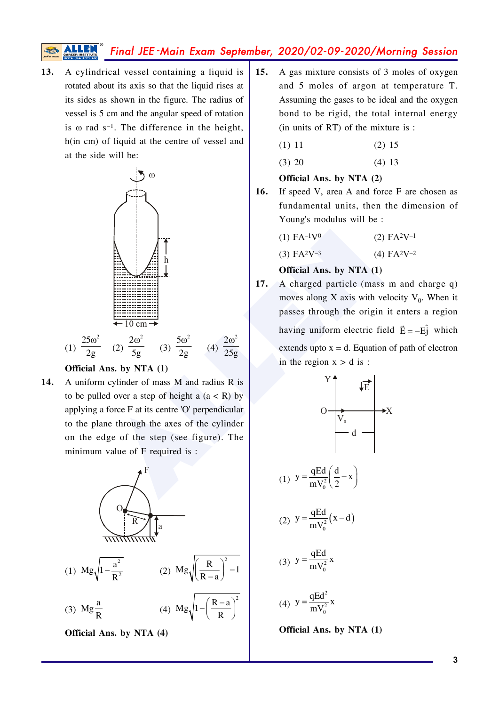# Final JEE-Main Exam September, 2020/02-09-2020/Morning Session

A cylindrical vessel containing a liquid is 13. rotated about its axis so that the liquid rises at its sides as shown in the figure. The radius of vessel is 5 cm and the angular speed of rotation is  $\omega$  rad s<sup>-1</sup>. The difference in the height, h(in cm) of liquid at the centre of vessel and at the side will be:



#### Official Ans. by NTA (1)

14. A uniform cylinder of mass M and radius R is to be pulled over a step of height a  $(a < R)$  by applying a force F at its centre 'O' perpendicular to the plane through the axes of the cylinder on the edge of the step (see figure). The minimum value of F required is :



Official Ans. by NTA (4)

- $15.$ A gas mixture consists of 3 moles of oxygen and 5 moles of argon at temperature T. Assuming the gases to be ideal and the oxygen bond to be rigid, the total internal energy  $(in$  units of RT $)$  of the mixture is :
	- $(1) 11$  $(2) 15$  $(4) 13$  $(3) 20$

### Official Ans. by NTA (2)

16. If speed V, area A and force F are chosen as fundamental units, then the dimension of Young's modulus will be :

| $(1)$ FA $-1$ V <sup>0</sup> | $(2)$ FA <sup>2</sup> V <sup>-1</sup> |
|------------------------------|---------------------------------------|

 $(3)$  FA<sup>2</sup>V<sup>-3</sup>  $(4)$  FA<sup>2</sup>V<sup>-2</sup>

### Official Ans. by NTA (1)

 $17.$ A charged particle (mass m and charge q) moves along X axis with velocity  $V_0$ . When it passes through the origin it enters a region having uniform electric field  $\vec{E} = -E\hat{j}$  which extends upto  $x = d$ . Equation of path of electron in the region  $x > d$  is:

y  
\n
$$
y = \frac{qEd}{mV_0^2} \left(\frac{d}{2} - x\right)
$$
  
\ny  
\n $y = \frac{qEd}{mV_0^2} (x - d)$   
\ny  
\n $y = \frac{qEd}{mV_0^2} x$   
\ny  
\n $y = \frac{qEd^2}{mV_0^2} x$ 

 $(1)$ 

 $(2)$ 

 $(3)$ 

 $(4)$ 

Official Ans. by NTA (1)